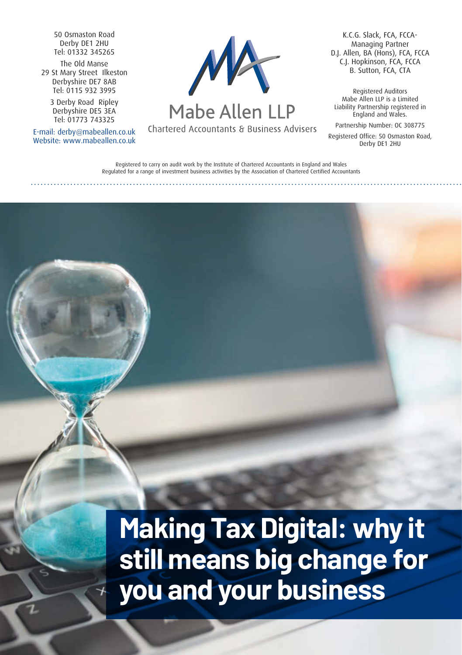50 Osmaston Road Derby DE1 2HU Tel: 01332 345265

The Old Manse 29 St Mary Street Ilkeston Derbyshire DE7 8AB Tel: 0115 932 3995

> 3 Derby Road Ripley Derbyshire DE5 3EA Tel: 01773 743325

E-mail: derby@mabeallen.co.uk Website: www.mabeallen.co.uk



Mabe Allen LLP

Chartered Accountants & Business Advisers

K.C.G. Slack, FCA, FCCA-Managing Partner D.J. Allen, BA (Hons), FCA, FCCA C.J. Hopkinson, FCA, FCCA B. Sutton, FCA, CTA

Registered Auditors Mabe Allen LLP is a Limited Liability Partnership registered in England and Wales.

Partnership Number: OC 308775

Registered Office: 50 Osmaston Road, Derby DE1 2HU

Registered to carry on audit work by the Institute of Chartered Accountants in England and Wales Regulated for a range of investment business activities by the Association of Chartered Certified Accountants

**Making Tax Digital: why it still means big change for you and your business**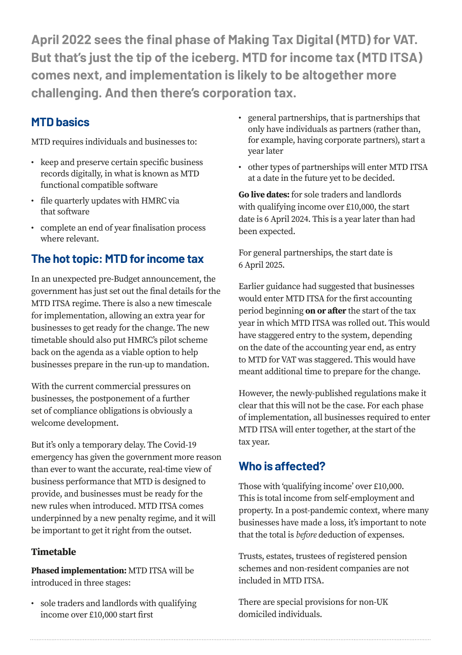**April 2022 sees the final phase of Making Tax Digital (MTD) for VAT. But that's just the tip of the iceberg. MTD for income tax (MTD ITSA) comes next, and implementation is likely to be altogether more challenging. And then there's corporation tax.**

## **MTD basics**

MTD requires individuals and businesses to:

- keep and preserve certain specific business records digitally, in what is known as MTD functional compatible software
- file quarterly updates with HMRC via that software
- complete an end of year finalisation process where relevant.

# **The hot topic: MTD for income tax**

In an unexpected pre-Budget announcement, the government has just set out the final details for the MTD ITSA regime. There is also a new timescale for implementation, allowing an extra year for businesses to get ready for the change. The new timetable should also put HMRC's pilot scheme back on the agenda as a viable option to help businesses prepare in the run-up to mandation.

With the current commercial pressures on businesses, the postponement of a further set of compliance obligations is obviously a welcome development.

But it's only a temporary delay. The Covid-19 emergency has given the government more reason than ever to want the accurate, real-time view of business performance that MTD is designed to provide, and businesses must be ready for the new rules when introduced. MTD ITSA comes underpinned by a new penalty regime, and it will be important to get it right from the outset.

#### **Timetable**

**Phased implementation:** MTD ITSA will be introduced in three stages:

• sole traders and landlords with qualifying income over £10,000 start first

- general partnerships, that is partnerships that only have individuals as partners (rather than, for example, having corporate partners), start a year later
- other types of partnerships will enter MTD ITSA at a date in the future yet to be decided.

**Go live dates:** for sole traders and landlords with qualifying income over £10,000, the start date is 6 April 2024. This is a year later than had been expected.

For general partnerships, the start date is 6 April 2025.

Earlier guidance had suggested that businesses would enter MTD ITSA for the first accounting period beginning **on or after** the start of the tax year in which MTD ITSA was rolled out. This would have staggered entry to the system, depending on the date of the accounting year end, as entry to MTD for VAT was staggered. This would have meant additional time to prepare for the change.

However, the newly-published regulations make it clear that this will not be the case. For each phase of implementation, all businesses required to enter MTD ITSA will enter together, at the start of the tax year.

### **Who is affected?**

Those with 'qualifying income' over £10,000. This is total income from self-employment and property. In a post-pandemic context, where many businesses have made a loss, it's important to note that the total is *before* deduction of expenses.

Trusts, estates, trustees of registered pension schemes and non-resident companies are not included in MTD ITSA.

There are special provisions for non-UK domiciled individuals.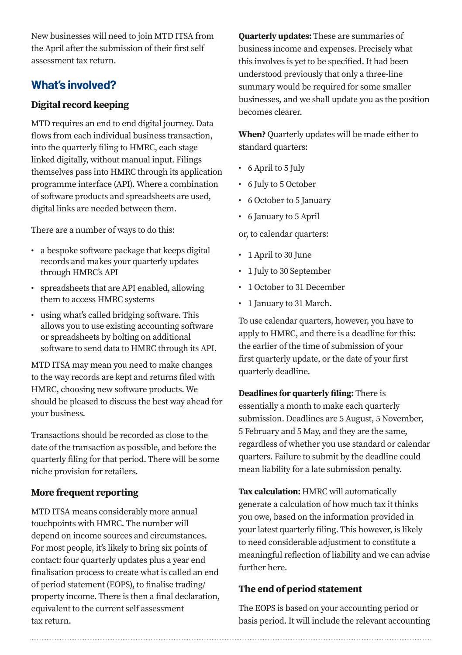New businesses will need to join MTD ITSA from the April after the submission of their first self assessment tax return.

# **What's involved?**

#### **Digital record keeping**

MTD requires an end to end digital journey. Data flows from each individual business transaction, into the quarterly filing to HMRC, each stage linked digitally, without manual input. Filings themselves pass into HMRC through its application programme interface (API). Where a combination of software products and spreadsheets are used, digital links are needed between them.

There are a number of ways to do this:

- a bespoke software package that keeps digital records and makes your quarterly updates through HMRC's API
- spreadsheets that are API enabled, allowing them to access HMRC systems
- using what's called bridging software. This allows you to use existing accounting software or spreadsheets by bolting on additional software to send data to HMRC through its API.

MTD ITSA may mean you need to make changes to the way records are kept and returns filed with HMRC, choosing new software products. We should be pleased to discuss the best way ahead for your business.

Transactions should be recorded as close to the date of the transaction as possible, and before the quarterly filing for that period. There will be some niche provision for retailers.

### **More frequent reporting**

MTD ITSA means considerably more annual touchpoints with HMRC. The number will depend on income sources and circumstances. For most people, it's likely to bring six points of contact: four quarterly updates plus a year end finalisation process to create what is called an end of period statement (EOPS), to finalise trading/ property income. There is then a final declaration, equivalent to the current self assessment tax return.

**Quarterly updates:** These are summaries of business income and expenses. Precisely what this involves is yet to be specified. It had been understood previously that only a three-line summary would be required for some smaller businesses, and we shall update you as the position becomes clearer.

**When?** Quarterly updates will be made either to standard quarters:

- 6 April to 5 July
- 6 July to 5 October
- 6 October to 5 January
- 6 January to 5 April

or, to calendar quarters:

- 1 April to 30 June
- 1 July to 30 September
- 1 October to 31 December
- 1 January to 31 March.

To use calendar quarters, however, you have to apply to HMRC, and there is a deadline for this: the earlier of the time of submission of your first quarterly update, or the date of your first quarterly deadline.

**Deadlines for quarterly filing:** There is essentially a month to make each quarterly submission. Deadlines are 5 August, 5 November, 5 February and 5 May, and they are the same, regardless of whether you use standard or calendar quarters. Failure to submit by the deadline could mean liability for a late submission penalty.

**Tax calculation:** HMRC will automatically generate a calculation of how much tax it thinks you owe, based on the information provided in your latest quarterly filing. This however, is likely to need considerable adjustment to constitute a meaningful reflection of liability and we can advise further here.

#### **The end of period statement**

The EOPS is based on your accounting period or basis period. It will include the relevant accounting